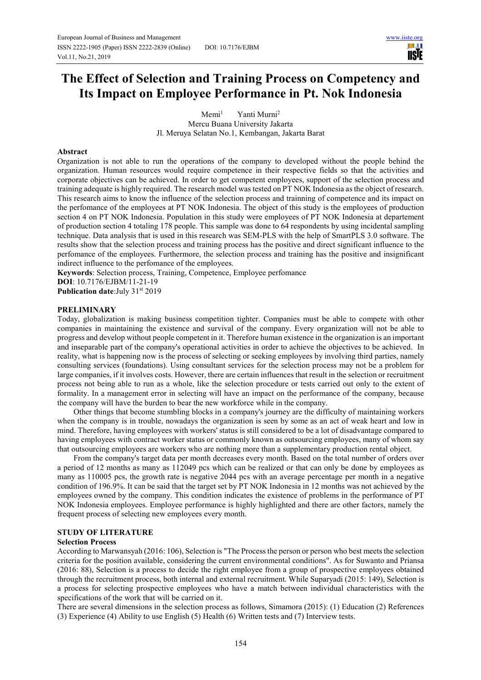Ш **TISTE** 

# **The Effect of Selection and Training Process on Competency and Its Impact on Employee Performance in Pt. Nok Indonesia**

 $M$ emi $<sup>1</sup>$ </sup> Yanti Murni<sup>2</sup> Mercu Buana University Jakarta Jl. Meruya Selatan No.1, Kembangan, Jakarta Barat

## **Abstract**

Organization is not able to run the operations of the company to developed without the people behind the organization. Human resources would require competence in their respective fields so that the activities and corporate objectives can be achieved. In order to get competent employees, support of the selection process and training adequate is highly required. The research model was tested on PT NOK Indonesia as the object of research. This research aims to know the influence of the selection process and trainning of competence and its impact on the perfomance of the employees at PT NOK Indonesia. The object of this study is the employees of production section 4 on PT NOK Indonesia. Population in this study were employees of PT NOK Indonesia at departement of production section 4 totaling 178 people. This sample was done to 64 respondents by using incidental sampling technique. Data analysis that is used in this research was SEM-PLS with the help of SmartPLS 3.0 software. The results show that the selection process and training process has the positive and direct significant influence to the perfomance of the employees. Furthermore, the selection process and training has the positive and insignificant indirect influence to the perfomance of the employees.

**Keywords**: Selection process, Training, Competence, Employee perfomance

**DOI**: 10.7176/EJBM/11-21-19 **Publication date:**July 31st 2019

## **PRELIMINARY**

Today, globalization is making business competition tighter. Companies must be able to compete with other companies in maintaining the existence and survival of the company. Every organization will not be able to progress and develop without people competent in it. Therefore human existence in the organization is an important and inseparable part of the company's operational activities in order to achieve the objectives to be achieved. In reality, what is happening now is the process of selecting or seeking employees by involving third parties, namely consulting services (foundations). Using consultant services for the selection process may not be a problem for large companies, if it involves costs. However, there are certain influences that result in the selection or recruitment process not being able to run as a whole, like the selection procedure or tests carried out only to the extent of formality. In a management error in selecting will have an impact on the performance of the company, because the company will have the burden to bear the new workforce while in the company.

Other things that become stumbling blocks in a company's journey are the difficulty of maintaining workers when the company is in trouble, nowadays the organization is seen by some as an act of weak heart and low in mind. Therefore, having employees with workers' status is still considered to be a lot of disadvantage compared to having employees with contract worker status or commonly known as outsourcing employees, many of whom say that outsourcing employees are workers who are nothing more than a supplementary production rental object.

From the company's target data per month decreases every month. Based on the total number of orders over a period of 12 months as many as 112049 pcs which can be realized or that can only be done by employees as many as 110005 pcs, the growth rate is negative 2044 pcs with an average percentage per month in a negative condition of 196.9%. It can be said that the target set by PT NOK Indonesia in 12 months was not achieved by the employees owned by the company. This condition indicates the existence of problems in the performance of PT NOK Indonesia employees. Employee performance is highly highlighted and there are other factors, namely the frequent process of selecting new employees every month.

## **STUDY OF LITERATURE**

#### **Selection Process**

According to Marwansyah (2016: 106), Selection is "The Process the person or person who best meets the selection criteria for the position available, considering the current environmental conditions". As for Suwanto and Priansa (2016: 88), Selection is a process to decide the right employee from a group of prospective employees obtained through the recruitment process, both internal and external recruitment. While Suparyadi (2015: 149), Selection is a process for selecting prospective employees who have a match between individual characteristics with the specifications of the work that will be carried on it.

There are several dimensions in the selection process as follows, Simamora (2015): (1) Education (2) References (3) Experience (4) Ability to use English (5) Health (6) Written tests and (7) Interview tests.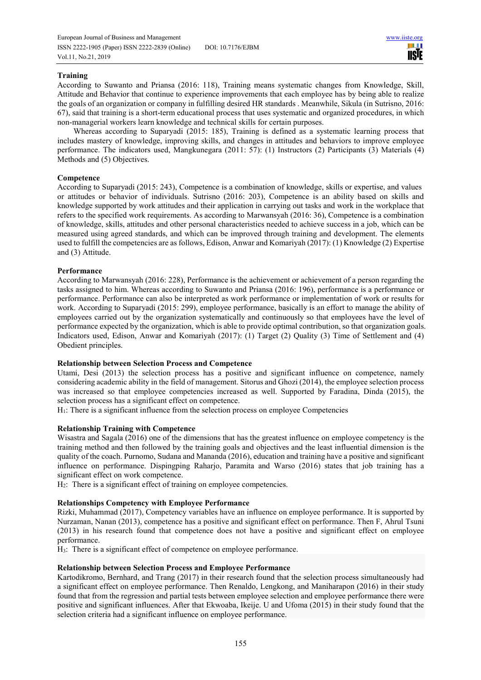European Journal of Business and Management www.iiste.org ISSN 2222-1905 (Paper) ISSN 2222-2839 (Online) DOI: 10.7176/EJBM Vol.11, No.21, 2019

**III IISTE** 

## **Training**

According to Suwanto and Priansa (2016: 118), Training means systematic changes from Knowledge, Skill, Attitude and Behavior that continue to experience improvements that each employee has by being able to realize the goals of an organization or company in fulfilling desired HR standards . Meanwhile, Sikula (in Sutrisno, 2016: 67), said that training is a short-term educational process that uses systematic and organized procedures, in which non-managerial workers learn knowledge and technical skills for certain purposes.

Whereas according to Suparyadi (2015: 185), Training is defined as a systematic learning process that includes mastery of knowledge, improving skills, and changes in attitudes and behaviors to improve employee performance. The indicators used, Mangkunegara (2011: 57): (1) Instructors (2) Participants (3) Materials (4) Methods and (5) Objectives.

## **Competence**

According to Suparyadi (2015: 243), Competence is a combination of knowledge, skills or expertise, and values or attitudes or behavior of individuals. Sutrisno (2016: 203), Competence is an ability based on skills and knowledge supported by work attitudes and their application in carrying out tasks and work in the workplace that refers to the specified work requirements. As according to Marwansyah (2016: 36), Competence is a combination of knowledge, skills, attitudes and other personal characteristics needed to achieve success in a job, which can be measured using agreed standards, and which can be improved through training and development. The elements used to fulfill the competencies are as follows, Edison, Anwar and Komariyah (2017): (1) Knowledge (2) Expertise and (3) Attitude.

## **Performance**

According to Marwansyah (2016: 228), Performance is the achievement or achievement of a person regarding the tasks assigned to him. Whereas according to Suwanto and Priansa (2016: 196), performance is a performance or performance. Performance can also be interpreted as work performance or implementation of work or results for work. According to Suparyadi (2015: 299), employee performance, basically is an effort to manage the ability of employees carried out by the organization systematically and continuously so that employees have the level of performance expected by the organization, which is able to provide optimal contribution, so that organization goals. Indicators used, Edison, Anwar and Komariyah (2017): (1) Target (2) Quality (3) Time of Settlement and (4) Obedient principles.

#### **Relationship between Selection Process and Competence**

Utami, Desi (2013) the selection process has a positive and significant influence on competence, namely considering academic ability in the field of management. Sitorus and Ghozi (2014), the employee selection process was increased so that employee competencies increased as well. Supported by Faradina, Dinda (2015), the selection process has a significant effect on competence.

 $H_1$ : There is a significant influence from the selection process on employee Competencies

#### **Relationship Training with Competence**

Wisastra and Sagala (2016) one of the dimensions that has the greatest influence on employee competency is the training method and then followed by the training goals and objectives and the least influential dimension is the quality of the coach. Purnomo, Sudana and Mananda (2016), education and training have a positive and significant influence on performance. Dispingping Raharjo, Paramita and Warso (2016) states that job training has a significant effect on work competence.

H2: There is a significant effect of training on employee competencies.

## **Relationships Competency with Employee Performance**

Rizki, Muhammad (2017), Competency variables have an influence on employee performance. It is supported by Nurzaman, Nanan (2013), competence has a positive and significant effect on performance. Then F, Ahrul Tsuni (2013) in his research found that competence does not have a positive and significant effect on employee performance.

H3: There is a significant effect of competence on employee performance.

#### **Relationship between Selection Process and Employee Performance**

Kartodikromo, Bernhard, and Trang (2017) in their research found that the selection process simultaneously had a significant effect on employee performance. Then Renaldo, Lengkong, and Maniharapon (2016) in their study found that from the regression and partial tests between employee selection and employee performance there were positive and significant influences. After that Ekwoaba, Ikeije. U and Ufoma (2015) in their study found that the selection criteria had a significant influence on employee performance.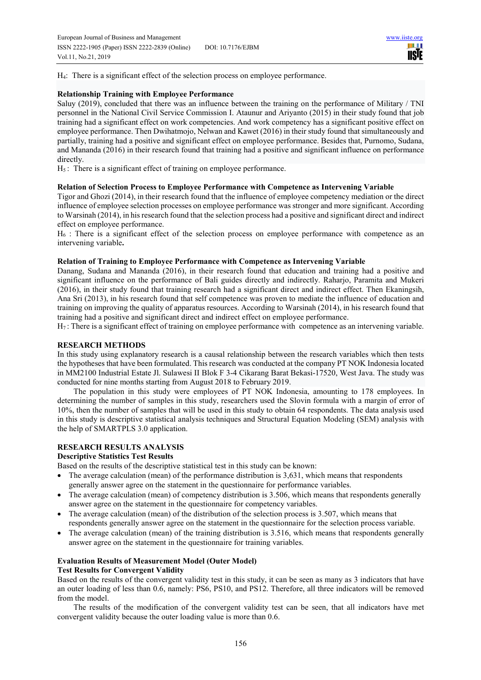ШT **IISIE** 

H4: There is a significant effect of the selection process on employee performance.

## **Relationship Training with Employee Performance**

Saluy (2019), concluded that there was an influence between the training on the performance of Military / TNI personnel in the National Civil Service Commission I. Ataunur and Ariyanto (2015) in their study found that job training had a significant effect on work competencies. And work competency has a significant positive effect on employee performance. Then Dwihatmojo, Nelwan and Kawet (2016) in their study found that simultaneously and partially, training had a positive and significant effect on employee performance. Besides that, Purnomo, Sudana, and Mananda (2016) in their research found that training had a positive and significant influence on performance directly.

H5 : There is a significant effect of training on employee performance.

## **Relation of Selection Process to Employee Performance with Competence as Intervening Variable**

Tigor and Ghozi (2014), in their research found that the influence of employee competency mediation or the direct influence of employee selection processes on employee performance was stronger and more significant. According to Warsinah (2014), in his research found that the selection process had a positive and significant direct and indirect effect on employee performance.

 $H_6$ : There is a significant effect of the selection process on employee performance with competence as an intervening variable**.** 

## **Relation of Training to Employee Performance with Competence as Intervening Variable**

Danang, Sudana and Mananda (2016), in their research found that education and training had a positive and significant influence on the performance of Bali guides directly and indirectly. Raharjo, Paramita and Mukeri (2016), in their study found that training research had a significant direct and indirect effect. Then Ekaningsih, Ana Sri (2013), in his research found that self competence was proven to mediate the influence of education and training on improving the quality of apparatus resources. According to Warsinah (2014), in his research found that training had a positive and significant direct and indirect effect on employee performance.

H7 : There is a significant effect of training on employee performance with competence as an intervening variable.

#### **RESEARCH METHODS**

In this study using explanatory research is a causal relationship between the research variables which then tests the hypotheses that have been formulated. This research was conducted at the company PT NOK Indonesia located in MM2100 Industrial Estate Jl. Sulawesi II Blok F 3-4 Cikarang Barat Bekasi-17520, West Java. The study was conducted for nine months starting from August 2018 to February 2019.

The population in this study were employees of PT NOK Indonesia, amounting to 178 employees. In determining the number of samples in this study, researchers used the Slovin formula with a margin of error of 10%, then the number of samples that will be used in this study to obtain 64 respondents. The data analysis used in this study is descriptive statistical analysis techniques and Structural Equation Modeling (SEM) analysis with the help of SMARTPLS 3.0 application.

## **RESEARCH RESULTS ANALYSIS**

## **Descriptive Statistics Test Results**

Based on the results of the descriptive statistical test in this study can be known:

- The average calculation (mean) of the performance distribution is 3,631, which means that respondents generally answer agree on the statement in the questionnaire for performance variables.
- The average calculation (mean) of competency distribution is 3.506, which means that respondents generally answer agree on the statement in the questionnaire for competency variables.
- The average calculation (mean) of the distribution of the selection process is 3.507, which means that respondents generally answer agree on the statement in the questionnaire for the selection process variable.
- The average calculation (mean) of the training distribution is 3.516, which means that respondents generally answer agree on the statement in the questionnaire for training variables.

#### **Evaluation Results of Measurement Model (Outer Model) Test Results for Convergent Validity**

Based on the results of the convergent validity test in this study, it can be seen as many as 3 indicators that have an outer loading of less than 0.6, namely: PS6, PS10, and PS12. Therefore, all three indicators will be removed from the model.

The results of the modification of the convergent validity test can be seen, that all indicators have met convergent validity because the outer loading value is more than 0.6.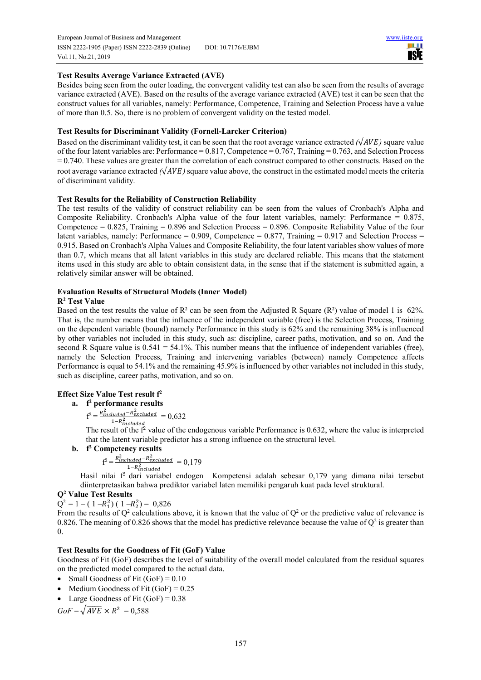ШT **IISTE** 

## **Test Results Average Variance Extracted (AVE)**

Besides being seen from the outer loading, the convergent validity test can also be seen from the results of average variance extracted (AVE). Based on the results of the average variance extracted (AVE) test it can be seen that the construct values for all variables, namely: Performance, Competence, Training and Selection Process have a value of more than 0.5. So, there is no problem of convergent validity on the tested model.

## **Test Results for Discriminant Validity (Fornell-Larcker Criterion)**

Based on the discriminant validity test, it can be seen that the root average variance extracted  $(\sqrt{AVE})$  square value of the four latent variables are: Performance =  $0.817$ , Competence =  $0.767$ , Training =  $0.763$ , and Selection Process  $= 0.740$ . These values are greater than the correlation of each construct compared to other constructs. Based on the root average variance extracted  $(\sqrt{AVE})$  square value above, the construct in the estimated model meets the criteria of discriminant validity.

## **Test Results for the Reliability of Construction Reliability**

The test results of the validity of construct reliability can be seen from the values of Cronbach's Alpha and Composite Reliability. Cronbach's Alpha value of the four latent variables, namely: Performance  $= 0.875$ . Competence  $= 0.825$ , Training  $= 0.896$  and Selection Process  $= 0.896$ . Composite Reliability Value of the four latent variables, namely: Performance =  $0.909$ , Competence =  $0.877$ , Training =  $0.917$  and Selection Process = 0.915. Based on Cronbach's Alpha Values and Composite Reliability, the four latent variables show values of more than 0.7, which means that all latent variables in this study are declared reliable. This means that the statement items used in this study are able to obtain consistent data, in the sense that if the statement is submitted again, a relatively similar answer will be obtained.

## **Evaluation Results of Structural Models (Inner Model)**

## **R2 Test Value**

Based on the test results the value of  $\mathbb{R}^2$  can be seen from the Adjusted R Square ( $\mathbb{R}^2$ ) value of model 1 is 62%. That is, the number means that the influence of the independent variable (free) is the Selection Process, Training on the dependent variable (bound) namely Performance in this study is 62% and the remaining 38% is influenced by other variables not included in this study, such as: discipline, career paths, motivation, and so on. And the second R Square value is  $0.541 = 54.1\%$ . This number means that the influence of independent variables (free), namely the Selection Process, Training and intervening variables (between) namely Competence affects Performance is equal to 54.1% and the remaining 45.9% is influenced by other variables not included in this study, such as discipline, career paths, motivation, and so on.

#### **Effect Size Value Test result f<sup>2</sup>**

## **a. f 2 performance results**

 $f^2 = \frac{R_{included}^2 - R_{excluded}^2}{1 - R^2} = 0.632$  $1 - R_{included}^2$ 

The result of the  $f<sup>2</sup>$  value of the endogenous variable Performance is 0.632, where the value is interpreted that the latent variable predictor has a strong influence on the structural level.

## **b. f 2 Competency results**

$$
f^2 = \frac{R_{inculated}^2 - R_{exculated}^2}{1 - R_{inculated}^2} = 0.179
$$

 $1-R_{intulated}^2$  Hasil nilai f<sup>2</sup> dari variabel endogen Kompetensi adalah sebesar 0,179 yang dimana nilai tersebut diinterpretasikan bahwa prediktor variabel laten memiliki pengaruh kuat pada level struktural.

## **Q<sup>2</sup> Value Test Results**

 $Q^2 = 1 - (1 - R_1^2) (1 - R_2^2) = 0.826$ 

From the results of  $Q^2$  calculations above, it is known that the value of  $Q^2$  or the predictive value of relevance is 0.826. The meaning of 0.826 shows that the model has predictive relevance because the value of  $Q^2$  is greater than 0.

## **Test Results for the Goodness of Fit (GoF) Value**

Goodness of Fit (GoF) describes the level of suitability of the overall model calculated from the residual squares on the predicted model compared to the actual data.

- Small Goodness of Fit  $(GoF) = 0.10$
- $\bullet$  Medium Goodness of Fit (GoF) = 0.25
- Large Goodness of Fit  $(GoF) = 0.38$

 $GoF = \sqrt{AVE} \times R^2 = 0,588$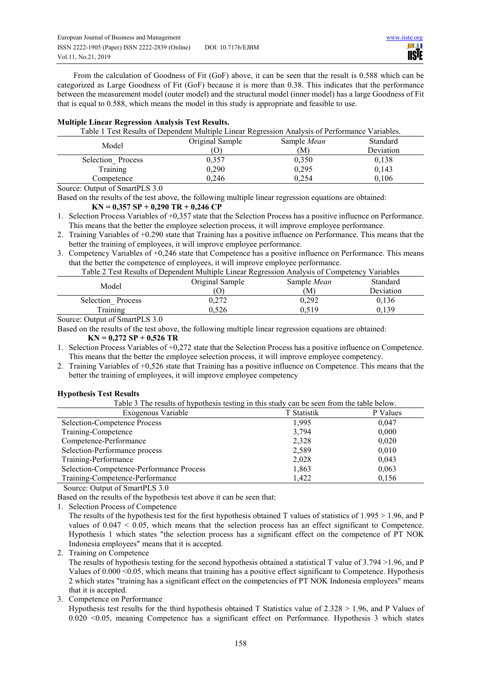From the calculation of Goodness of Fit (GoF) above, it can be seen that the result is 0.588 which can be categorized as Large Goodness of Fit (GoF) because it is more than 0.38. This indicates that the performance between the measurement model (outer model) and the structural model (inner model) has a large Goodness of Fit that is equal to 0.588, which means the model in this study is appropriate and feasible to use.

## **Multiple Linear Regression Analysis Test Results.**

| Table 1 Test Results of Dependent Multiple Linear Regression Analysis of Performance Variables. |                 |                    |           |  |  |
|-------------------------------------------------------------------------------------------------|-----------------|--------------------|-----------|--|--|
| Model                                                                                           | Original Sample | Sample <i>Mean</i> | Standard  |  |  |
|                                                                                                 | $\mathcal{O}$   | (M)                | Deviation |  |  |
| Selection Process                                                                               | 0.357           | 0,350              | 0,138     |  |  |
| Training                                                                                        | 0.290           | 0.295              | 0,143     |  |  |
| Competence                                                                                      | 0.246           | 0.254              | 0,106     |  |  |

Source: Output of SmartPLS 3.0

Based on the results of the test above, the following multiple linear regression equations are obtained:  **KN = 0,357 SP + 0,290 TR + 0,246 CP** 

1. Selection Process Variables of +0,357 state that the Selection Process has a positive influence on Performance. This means that the better the employee selection process, it will improve employee performance.

2. Training Variables of +0.290 state that Training has a positive influence on Performance. This means that the better the training of employees, it will improve employee performance.

3. Competency Variables of +0,246 state that Competence has a positive influence on Performance. This means that the better the competence of employees, it will improve employee performance.

Table 2 Test Results of Dependent Multiple Linear Regression Analysis of Competency Variables

| Model                | Original Sample<br>O | Sample <i>Mean</i><br>M. | <b>Standard</b><br><b>Deviation</b> |
|----------------------|----------------------|--------------------------|-------------------------------------|
|                      | רר ו                 |                          |                                     |
| Selection<br>Process | 0.Z I Z              | 0,292                    | 0.136                               |
| Fraining             | 0.526                | 0,519                    | 0,139                               |

Source: Output of SmartPLS 3.0

Based on the results of the test above, the following multiple linear regression equations are obtained:

#### **KN = 0,272 SP + 0,526 TR**

1. Selection Process Variables of +0,272 state that the Selection Process has a positive influence on Competence. This means that the better the employee selection process, it will improve employee competency.

2. Training Variables of +0,526 state that Training has a positive influence on Competence. This means that the better the training of employees, it will improve employee competency

## **Hypothesis Test Results**

|  |  | Table 3 The results of hypothesis testing in this study can be seen from the table below. |
|--|--|-------------------------------------------------------------------------------------------|
|--|--|-------------------------------------------------------------------------------------------|

| Exogenous Variable                       | T Statistik | P Values |
|------------------------------------------|-------------|----------|
| Selection-Competence Process             | 1,995       | 0,047    |
| Training-Competence                      | 3,794       | 0,000    |
| Competence-Performance                   | 2,328       | 0,020    |
| Selection-Performance process            | 2,589       | 0,010    |
| Training-Performance                     | 2,028       | 0,043    |
| Selection-Competence-Performance Process | 1,863       | 0,063    |
| Training-Competence-Performance          | 1.422       | 0,156    |

Source: Output of SmartPLS 3.0

Based on the results of the hypothesis test above it can be seen that:

1. Selection Process of Competence

The results of the hypothesis test for the first hypothesis obtained T values of statistics of 1.995 > 1.96, and P values of 0.047 < 0.05, which means that the selection process has an effect significant to Competence. Hypothesis 1 which states "the selection process has a significant effect on the competence of PT NOK Indonesia employees" means that it is accepted.

2. Training on Competence

The results of hypothesis testing for the second hypothesis obtained a statistical T value of 3.794 >1.96, and P Values of 0.000 <0.05, which means that training has a positive effect significant to Competence. Hypothesis 2 which states "training has a significant effect on the competencies of PT NOK Indonesia employees" means that it is accepted.

3. Competence on Performance

Hypothesis test results for the third hypothesis obtained T Statistics value of 2.328 > 1.96, and P Values of 0.020 <0.05, meaning Competence has a significant effect on Performance. Hypothesis 3 which states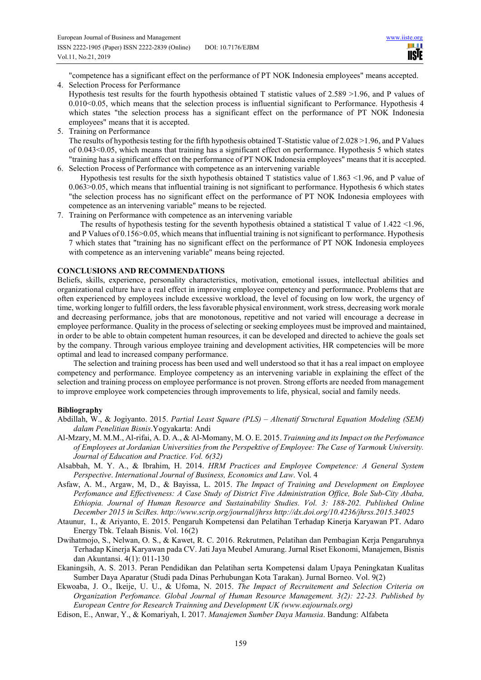шш **IISTE** 

"competence has a significant effect on the performance of PT NOK Indonesia employees" means accepted. 4. Selection Process for Performance

- Hypothesis test results for the fourth hypothesis obtained T statistic values of 2.589 >1.96, and P values of 0.010<0.05, which means that the selection process is influential significant to Performance. Hypothesis 4 which states "the selection process has a significant effect on the performance of PT NOK Indonesia employees" means that it is accepted.
- 5. Training on Performance

The results of hypothesis testing for the fifth hypothesis obtained T-Statistic value of 2.028 >1.96, and P Values of 0.043<0.05, which means that training has a significant effect on performance. Hypothesis 5 which states "training has a significant effect on the performance of PT NOK Indonesia employees" means that it is accepted. 6. Selection Process of Performance with competence as an intervening variable

Hypothesis test results for the sixth hypothesis obtained T statistics value of 1.863 <1.96, and P value of 0.063>0.05, which means that influential training is not significant to performance. Hypothesis 6 which states "the selection process has no significant effect on the performance of PT NOK Indonesia employees with competence as an intervening variable" means to be rejected.

7. Training on Performance with competence as an intervening variable

The results of hypothesis testing for the seventh hypothesis obtained a statistical T value of  $1.422 \le 1.96$ , and P Values of 0.156>0.05, which means that influential training is not significant to performance. Hypothesis 7 which states that "training has no significant effect on the performance of PT NOK Indonesia employees with competence as an intervening variable" means being rejected.

## **CONCLUSIONS AND RECOMMENDATIONS**

Beliefs, skills, experience, personality characteristics, motivation, emotional issues, intellectual abilities and organizational culture have a real effect in improving employee competency and performance. Problems that are often experienced by employees include excessive workload, the level of focusing on low work, the urgency of time, working longer to fulfill orders, the less favorable physical environment, work stress, decreasing work morale and decreasing performance, jobs that are monotonous, repetitive and not varied will encourage a decrease in employee performance. Quality in the process of selecting or seeking employees must be improved and maintained, in order to be able to obtain competent human resources, it can be developed and directed to achieve the goals set by the company. Through various employee training and development activities, HR competencies will be more optimal and lead to increased company performance.

The selection and training process has been used and well understood so that it has a real impact on employee competency and performance. Employee competency as an intervening variable in explaining the effect of the selection and training process on employee performance is not proven. Strong efforts are needed from management to improve employee work competencies through improvements to life, physical, social and family needs.

#### **Bibliography**

- Abdillah, W., & Jogiyanto. 2015. *Partial Least Square (PLS) Altenatif Structural Equation Modeling (SEM) dalam Penelitian Bisnis*.Yogyakarta: Andi
- Al-Mzary, M. M.M., Al-rifai, A. D. A., & Al-Momany, M. O. E. 2015. *Trainning and its Impact on the Perfomance of Employees at Jordanian Universities from the Perspektive of Employee: The Case of Yarmouk University. Journal of Education and Practice. Vol. 6(32)*
- Alsabbah, M. Y. A., & Ibrahim, H. 2014. *HRM Practices and Employee Competence: A General System Perspective*. *International Journal of Business, Economics and Law*. Vol. 4
- Asfaw, A. M., Argaw, M, D., & Bayissa, L. 2015. *The Impact of Training and Development on Employee Perfomance and Effectiveness: A Case Study of District Five Administration Office, Bole Sub-City Ababa, Ethiopia. Journal of Human Resource and Sustainability Studies. Vol. 3: 188-202. Published Online December 2015 in SciRes. http://www.scrip.org/journal/jhrss http://dx.doi.org/10.4236/jhrss.2015.34025*
- Ataunur, I., & Ariyanto, E. 2015. Pengaruh Kompetensi dan Pelatihan Terhadap Kinerja Karyawan PT. Adaro Energy Tbk. Telaah Bisnis. Vol. 16(2)
- Dwihatmojo, S., Nelwan, O. S., & Kawet, R. C. 2016. Rekrutmen, Pelatihan dan Pembagian Kerja Pengaruhnya Terhadap Kinerja Karyawan pada CV. Jati Jaya Meubel Amurang. Jurnal Riset Ekonomi, Manajemen, Bisnis dan Akuntansi. 4(1): 011-130
- Ekaningsih, A. S. 2013. Peran Pendidikan dan Pelatihan serta Kompetensi dalam Upaya Peningkatan Kualitas Sumber Daya Aparatur (Studi pada Dinas Perhubungan Kota Tarakan). Jurnal Borneo. Vol. 9(2)
- Ekwoaba, J. O., Ikeije, U. U., & Ufoma, N. 2015. *The Impact of Recruitement and Selection Criteria on Organization Perfomance. Global Journal of Human Resource Management. 3(2): 22-23. Published by European Centre for Research Trainning and Development UK (www.eajournals.org)*
- Edison, E., Anwar, Y., & Komariyah, I. 2017. *Manajemen Sumber Daya Manusia*. Bandung: Alfabeta